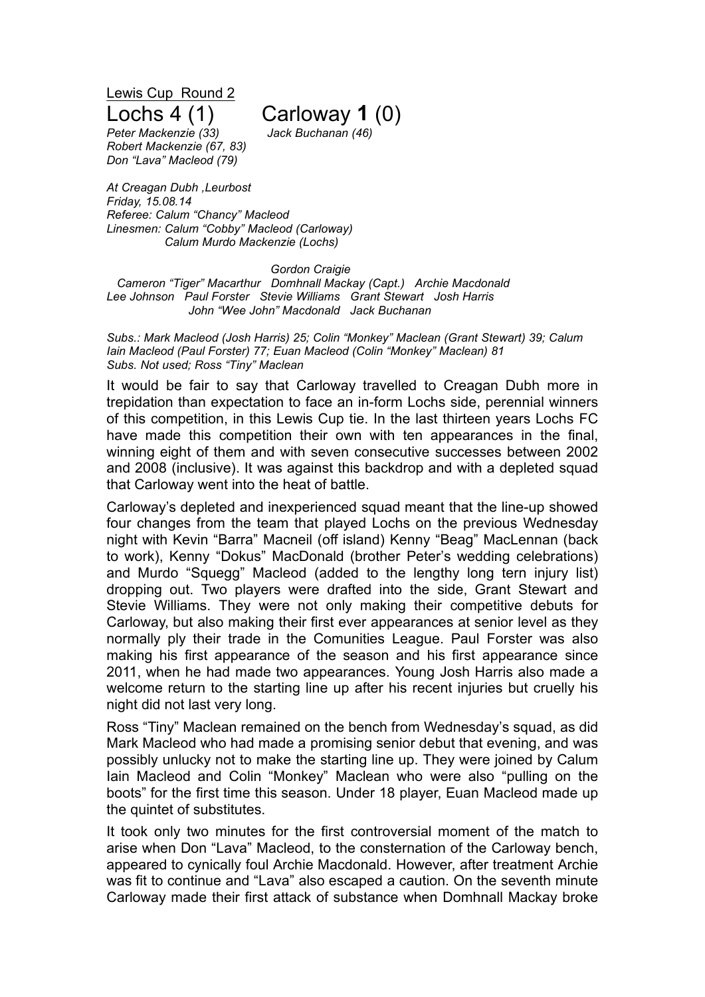Lewis Cup Round 2

## Lochs 4 (1) Carloway **1** (0)

*Peter Mackenzie (33) Jack Buchanan (46) Robert Mackenzie (67, 83) Don "Lava" Macleod (79)*

*At Creagan Dubh ,Leurbost Friday, 15.08.14 Referee: Calum "Chancy" Macleod Linesmen: Calum "Cobby" Macleod (Carloway) Calum Murdo Mackenzie (Lochs)*

## *Gordon Craigie*

*Cameron "Tiger" Macarthur Domhnall Mackay (Capt.) Archie Macdonald Lee Johnson Paul Forster Stevie Williams Grant Stewart Josh Harris John "Wee John" Macdonald Jack Buchanan*

*Subs.: Mark Macleod (Josh Harris) 25; Colin "Monkey" Maclean (Grant Stewart) 39; Calum Iain Macleod (Paul Forster) 77; Euan Macleod (Colin "Monkey" Maclean) 81 Subs. Not used; Ross "Tiny" Maclean*

It would be fair to say that Carloway travelled to Creagan Dubh more in trepidation than expectation to face an in-form Lochs side, perennial winners of this competition, in this Lewis Cup tie. In the last thirteen years Lochs FC have made this competition their own with ten appearances in the final, winning eight of them and with seven consecutive successes between 2002 and 2008 (inclusive). It was against this backdrop and with a depleted squad that Carloway went into the heat of battle.

Carloway's depleted and inexperienced squad meant that the line-up showed four changes from the team that played Lochs on the previous Wednesday night with Kevin "Barra" Macneil (off island) Kenny "Beag" MacLennan (back to work), Kenny "Dokus" MacDonald (brother Peter's wedding celebrations) and Murdo "Squegg" Macleod (added to the lengthy long tern injury list) dropping out. Two players were drafted into the side, Grant Stewart and Stevie Williams. They were not only making their competitive debuts for Carloway, but also making their first ever appearances at senior level as they normally ply their trade in the Comunities League. Paul Forster was also making his first appearance of the season and his first appearance since 2011, when he had made two appearances. Young Josh Harris also made a welcome return to the starting line up after his recent injuries but cruelly his night did not last very long.

Ross "Tiny" Maclean remained on the bench from Wednesday's squad, as did Mark Macleod who had made a promising senior debut that evening, and was possibly unlucky not to make the starting line up. They were joined by Calum Iain Macleod and Colin "Monkey" Maclean who were also "pulling on the boots" for the first time this season. Under 18 player, Euan Macleod made up the quintet of substitutes.

It took only two minutes for the first controversial moment of the match to arise when Don "Lava" Macleod, to the consternation of the Carloway bench, appeared to cynically foul Archie Macdonald. However, after treatment Archie was fit to continue and "Lava" also escaped a caution. On the seventh minute Carloway made their first attack of substance when Domhnall Mackay broke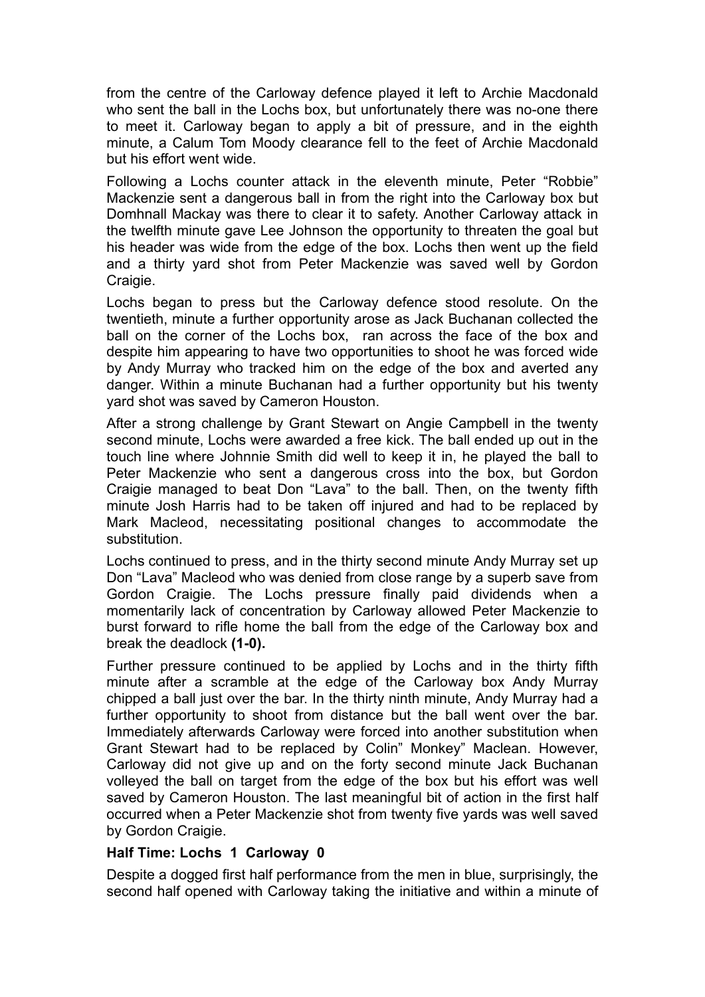from the centre of the Carloway defence played it left to Archie Macdonald who sent the ball in the Lochs box, but unfortunately there was no-one there to meet it. Carloway began to apply a bit of pressure, and in the eighth minute, a Calum Tom Moody clearance fell to the feet of Archie Macdonald but his effort went wide.

Following a Lochs counter attack in the eleventh minute, Peter "Robbie" Mackenzie sent a dangerous ball in from the right into the Carloway box but Domhnall Mackay was there to clear it to safety. Another Carloway attack in the twelfth minute gave Lee Johnson the opportunity to threaten the goal but his header was wide from the edge of the box. Lochs then went up the field and a thirty yard shot from Peter Mackenzie was saved well by Gordon Craigie.

Lochs began to press but the Carloway defence stood resolute. On the twentieth, minute a further opportunity arose as Jack Buchanan collected the ball on the corner of the Lochs box, ran across the face of the box and despite him appearing to have two opportunities to shoot he was forced wide by Andy Murray who tracked him on the edge of the box and averted any danger. Within a minute Buchanan had a further opportunity but his twenty yard shot was saved by Cameron Houston.

After a strong challenge by Grant Stewart on Angie Campbell in the twenty second minute, Lochs were awarded a free kick. The ball ended up out in the touch line where Johnnie Smith did well to keep it in, he played the ball to Peter Mackenzie who sent a dangerous cross into the box, but Gordon Craigie managed to beat Don "Lava" to the ball. Then, on the twenty fifth minute Josh Harris had to be taken off injured and had to be replaced by Mark Macleod, necessitating positional changes to accommodate the substitution.

Lochs continued to press, and in the thirty second minute Andy Murray set up Don "Lava" Macleod who was denied from close range by a superb save from Gordon Craigie. The Lochs pressure finally paid dividends when a momentarily lack of concentration by Carloway allowed Peter Mackenzie to burst forward to rifle home the ball from the edge of the Carloway box and break the deadlock **(1-0).**

Further pressure continued to be applied by Lochs and in the thirty fifth minute after a scramble at the edge of the Carloway box Andy Murray chipped a ball just over the bar. In the thirty ninth minute, Andy Murray had a further opportunity to shoot from distance but the ball went over the bar. Immediately afterwards Carloway were forced into another substitution when Grant Stewart had to be replaced by Colin" Monkey" Maclean. However, Carloway did not give up and on the forty second minute Jack Buchanan volleyed the ball on target from the edge of the box but his effort was well saved by Cameron Houston. The last meaningful bit of action in the first half occurred when a Peter Mackenzie shot from twenty five yards was well saved by Gordon Craigie.

## **Half Time: Lochs 1 Carloway 0**

Despite a dogged first half performance from the men in blue, surprisingly, the second half opened with Carloway taking the initiative and within a minute of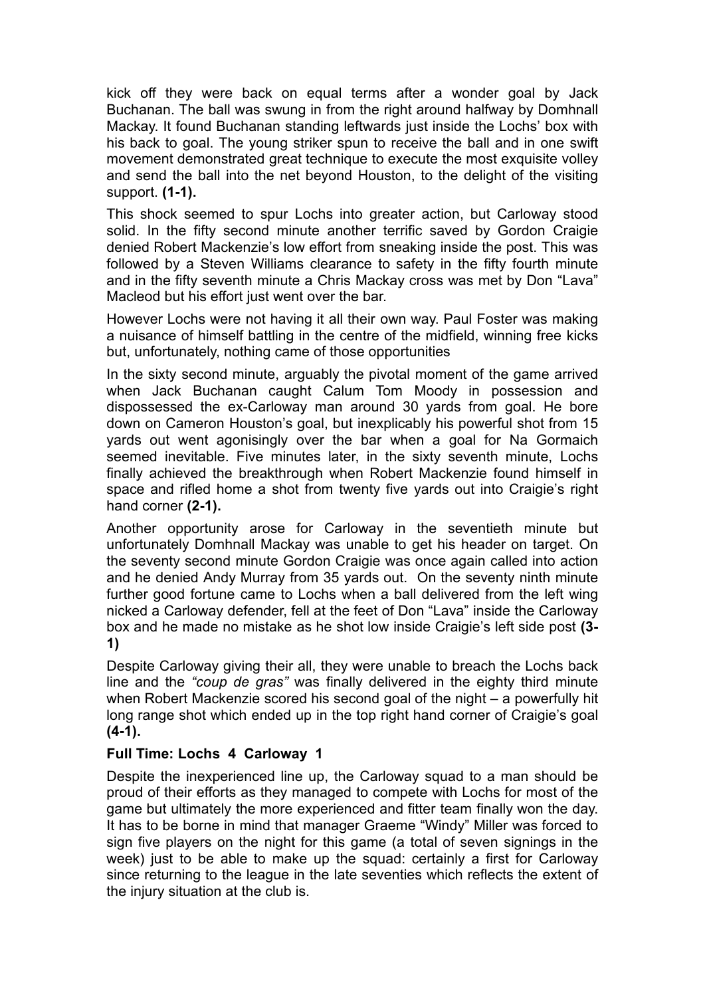kick off they were back on equal terms after a wonder goal by Jack Buchanan. The ball was swung in from the right around halfway by Domhnall Mackay. It found Buchanan standing leftwards just inside the Lochs' box with his back to goal. The young striker spun to receive the ball and in one swift movement demonstrated great technique to execute the most exquisite volley and send the ball into the net beyond Houston, to the delight of the visiting support. **(1-1).**

This shock seemed to spur Lochs into greater action, but Carloway stood solid. In the fifty second minute another terrific saved by Gordon Craigie denied Robert Mackenzie's low effort from sneaking inside the post. This was followed by a Steven Williams clearance to safety in the fifty fourth minute and in the fifty seventh minute a Chris Mackay cross was met by Don "Lava" Macleod but his effort just went over the bar.

However Lochs were not having it all their own way. Paul Foster was making a nuisance of himself battling in the centre of the midfield, winning free kicks but, unfortunately, nothing came of those opportunities

In the sixty second minute, arguably the pivotal moment of the game arrived when Jack Buchanan caught Calum Tom Moody in possession and dispossessed the ex-Carloway man around 30 yards from goal. He bore down on Cameron Houston's goal, but inexplicably his powerful shot from 15 yards out went agonisingly over the bar when a goal for Na Gormaich seemed inevitable. Five minutes later, in the sixty seventh minute, Lochs finally achieved the breakthrough when Robert Mackenzie found himself in space and rifled home a shot from twenty five yards out into Craigie's right hand corner **(2-1).**

Another opportunity arose for Carloway in the seventieth minute but unfortunately Domhnall Mackay was unable to get his header on target. On the seventy second minute Gordon Craigie was once again called into action and he denied Andy Murray from 35 yards out. On the seventy ninth minute further good fortune came to Lochs when a ball delivered from the left wing nicked a Carloway defender, fell at the feet of Don "Lava" inside the Carloway box and he made no mistake as he shot low inside Craigie's left side post **(3- 1)**

Despite Carloway giving their all, they were unable to breach the Lochs back line and the *"coup de gras"* was finally delivered in the eighty third minute when Robert Mackenzie scored his second goal of the night – a powerfully hit long range shot which ended up in the top right hand corner of Craigie's goal **(4-1).**

## **Full Time: Lochs 4 Carloway 1**

Despite the inexperienced line up, the Carloway squad to a man should be proud of their efforts as they managed to compete with Lochs for most of the game but ultimately the more experienced and fitter team finally won the day. It has to be borne in mind that manager Graeme "Windy" Miller was forced to sign five players on the night for this game (a total of seven signings in the week) just to be able to make up the squad: certainly a first for Carloway since returning to the league in the late seventies which reflects the extent of the injury situation at the club is.